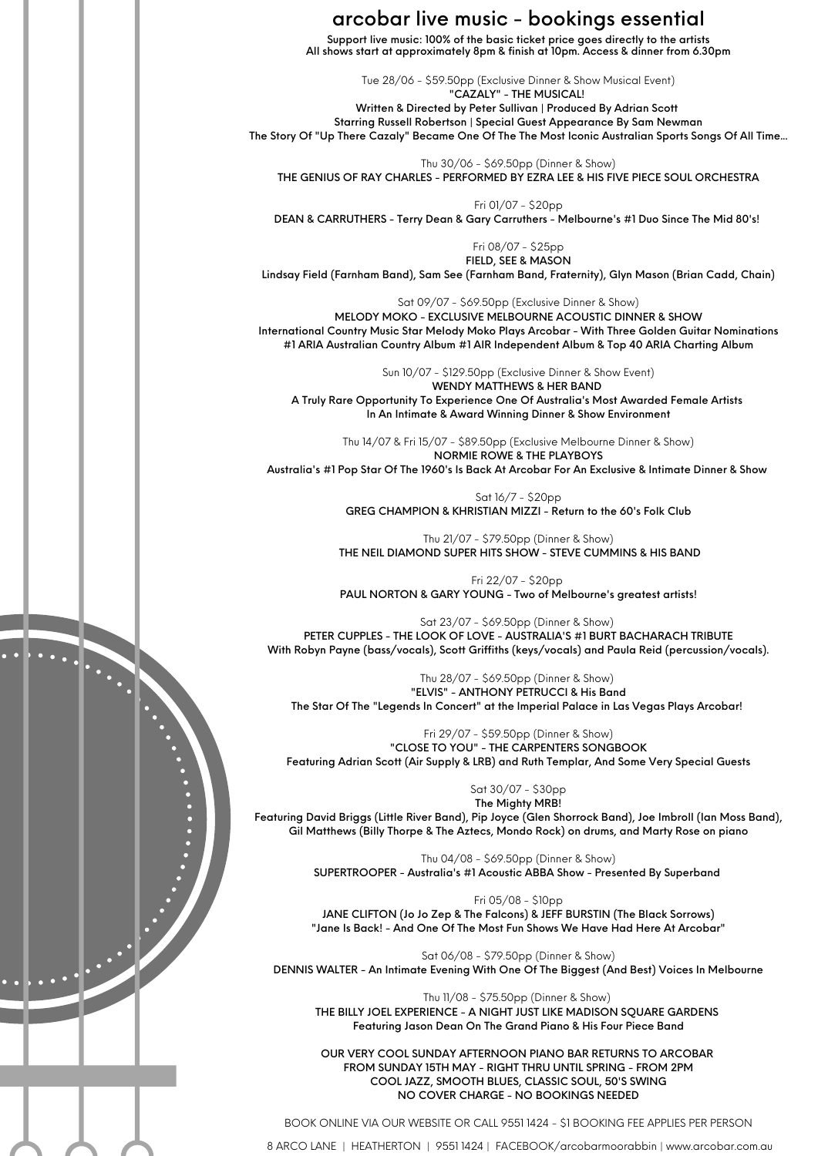## arcobar live music - bookings essential

Support live music: 100% of the basic ticket price goes directly to the artists All shows start at approximately 8pm & finish at 10pm. Access & dinner from 6.30pm

Tue 28/06 - \$59.50pp (Exclusive Dinner & Show Musical Event) "CAZALY" - THE MUSICAL! Written & Directed by Peter Sullivan | Produced By Adrian Scott Starring Russell Robertson | Special Guest Appearance By Sam Newman The Story Of "Up There Cazaly" Became One Of The The Most Iconic Australian Sports Songs Of All Time...

Thu 30/06 - \$69.50pp (Dinner & Show) THE GENIUS OF RAY CHARLES - PERFORMED BY EZRA LEE & HIS FIVE PIECE SOUL ORCHESTRA

Fri 01/07 - \$20pp DEAN & CARRUTHERS - Terry Dean & Gary Carruthers - Melbourne's #1 Duo Since The Mid 80's!

> Fri 08/07 - \$25pp FIELD, SEE & MASON

Lindsay Field (Farnham Band), Sam See (Farnham Band, Fraternity), Glyn Mason (Brian Cadd, Chain)

Sat 09/07 - \$69.50pp (Exclusive Dinner & Show)

MELODY MOKO - EXCLUSIVE MELBOURNE ACOUSTIC DINNER & SHOW International Country Music Star Melody Moko Plays Arcobar - With Three Golden Guitar Nominations #1 ARIA Australian Country Album #1 AIR Independent Album & Top 40 ARIA Charting Album

Sun 10/07 - \$129.50pp (Exclusive Dinner & Show Event)

WENDY MATTHEWS & HER BAND A Truly Rare Opportunity To Experience One Of Australia's Most Awarded Female Artists In An Intimate & Award Winning Dinner & Show Environment

Thu 14/07 & Fri 15/07 - \$89.50pp (Exclusive Melbourne Dinner & Show) NORMIE ROWE & THE PLAYBOYS Australia's #1 Pop Star Of The 1960's Is Back At Arcobar For An Exclusive & Intimate Dinner & Show

> Sat 16/7 - \$20pp GREG CHAMPION & KHRISTIAN MIZZI - Return to the 60's Folk Club

Thu 21/07 - \$79.50pp (Dinner & Show) THE NEIL DIAMOND SUPER HITS SHOW - STEVE CUMMINS & HIS BAND

Fri 22/07 - \$20pp PAUL NORTON & GARY YOUNG - Two of Melbourne's greatest artists!

Sat 23/07 - \$69.50pp (Dinner & Show) PETER CUPPLES - THE LOOK OF LOVE - AUSTRALIA'S #1 BURT BACHARACH TRIBUTE With Robyn Payne (bass/vocals), Scott Griffiths (keys/vocals) and Paula Reid (percussion/vocals).

Thu 28/07 - \$69.50pp (Dinner & Show) "ELVIS" - ANTHONY PETRUCCI & His Band The Star Of The "Legends In Concert" at the Imperial Palace in Las Vegas Plays Arcobar!

Fri 29/07 - \$59.50pp (Dinner & Show) "CLOSE TO YOU" - THE CARPENTERS SONGBOOK Featuring Adrian Scott (Air Supply & LRB) and Ruth Templar, And Some Very Special Guests

Sat 30/07 - \$30pp The Mighty MRB! Featuring David Briggs (Little River Band), Pip Joyce (Glen Shorrock Band), Joe Imbroll (Ian Moss Band), Gil Matthews (Billy Thorpe & The Aztecs, Mondo Rock) on drums, and Marty Rose on piano

> Thu 04/08 - \$69.50pp (Dinner & Show) SUPERTROOPER - Australia's #1 Acoustic ABBA Show - Presented By Superband

Fri 05/08 - \$10pp JANE CLIFTON (Jo Jo Zep & The Falcons) & JEFF BURSTIN (The Black Sorrows) "Jane Is Back! - And One Of The Most Fun Shows We Have Had Here At Arcobar"

Sat 06/08 - \$79.50pp (Dinner & Show) DENNIS WALTER - An Intimate Evening With One Of The Biggest (And Best) Voices In Melbourne

Thu 11/08 - \$75.50pp (Dinner & Show) THE BILLY JOEL EXPERIENCE - A NIGHT JUST LIKE MADISON SQUARE GARDENS Featuring Jason Dean On The Grand Piano & His Four Piece Band

OUR VERY COOL SUNDAY AFTERNOON PIANO BAR RETURNS TO ARCOBAR FROM SUNDAY 15TH MAY - RIGHT THRU UNTIL SPRING - FROM 2PM COOL JAZZ, SMOOTH BLUES, CLASSIC SOUL, 50'S SWING NO COVER CHARGE - NO BOOKINGS NEEDED

BOOK ONLINE VIA OUR WEBSITE OR CALL 9551 1424 - \$1 BOOKING FEE APPLIES PER PERSON

8 ARCO LANE | HEATHERTON | 9551 1424 | FACEBOOK/arcobarmoorabbin | www.arcobar.com.au